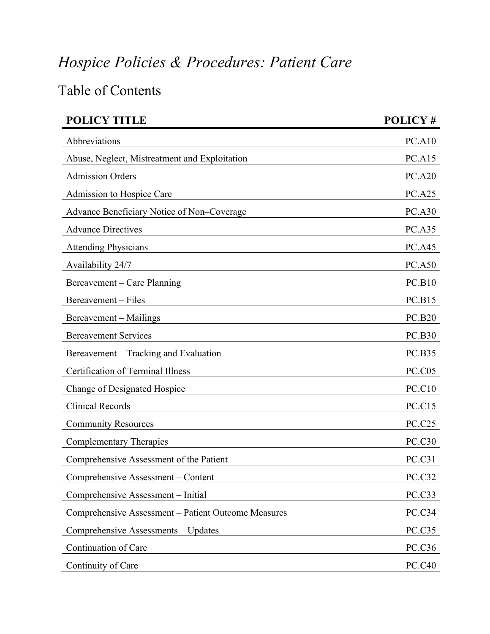## *Hospice Policies & Procedures: Patient Care*

## Table of Contents

| <b>POLICY TITLE</b>                                 | POLICY#       |
|-----------------------------------------------------|---------------|
| Abbreviations                                       | PC.A10        |
| Abuse, Neglect, Mistreatment and Exploitation       | <b>PC.A15</b> |
| <b>Admission Orders</b>                             | <b>PC.A20</b> |
| Admission to Hospice Care                           | <b>PC.A25</b> |
| Advance Beneficiary Notice of Non-Coverage          | <b>PC.A30</b> |
| <b>Advance Directives</b>                           | <b>PC.A35</b> |
| <b>Attending Physicians</b>                         | <b>PC.A45</b> |
| Availability 24/7                                   | <b>PC.A50</b> |
| Bereavement – Care Planning                         | <b>PC.B10</b> |
| Bereavement – Files                                 | <b>PC.B15</b> |
| Bereavement – Mailings                              | <b>PC.B20</b> |
| <b>Bereavement Services</b>                         | <b>PC.B30</b> |
| Bereavement – Tracking and Evaluation               | <b>PC.B35</b> |
| <b>Certification of Terminal Illness</b>            | PC.C05        |
| Change of Designated Hospice                        | <b>PC.C10</b> |
| <b>Clinical Records</b>                             | <b>PC.C15</b> |
| <b>Community Resources</b>                          | <b>PC.C25</b> |
| <b>Complementary Therapies</b>                      | <b>PC.C30</b> |
| Comprehensive Assessment of the Patient             | PC.C31        |
| Comprehensive Assessment – Content                  | PC.C32        |
| Comprehensive Assessment – Initial                  | PC.C33        |
| Comprehensive Assessment – Patient Outcome Measures | PC.C34        |
| Comprehensive Assessments – Updates                 | PC.C35        |
| Continuation of Care                                | <b>PC.C36</b> |
| Continuity of Care                                  | <b>PC.C40</b> |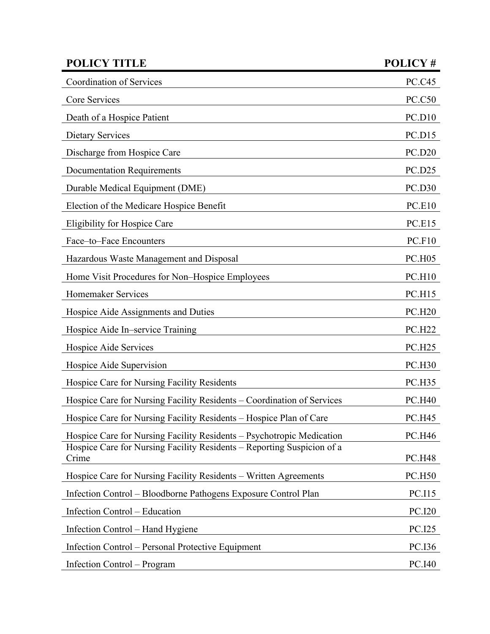| <b>POLICY TITLE</b>                                                             | POLICY#       |
|---------------------------------------------------------------------------------|---------------|
| Coordination of Services                                                        | <b>PC.C45</b> |
| Core Services                                                                   | <b>PC.C50</b> |
| Death of a Hospice Patient                                                      | PC.D10        |
| <b>Dietary Services</b>                                                         | PC.D15        |
| Discharge from Hospice Care                                                     | <b>PC.D20</b> |
| <b>Documentation Requirements</b>                                               | <b>PC.D25</b> |
| Durable Medical Equipment (DME)                                                 | <b>PC.D30</b> |
| Election of the Medicare Hospice Benefit                                        | <b>PC.E10</b> |
| <b>Eligibility for Hospice Care</b>                                             | <b>PC.E15</b> |
| Face-to-Face Encounters                                                         | PC.F10        |
| Hazardous Waste Management and Disposal                                         | <b>PC.H05</b> |
| Home Visit Procedures for Non-Hospice Employees                                 | PC.H10        |
| Homemaker Services                                                              | <b>PC.H15</b> |
| Hospice Aide Assignments and Duties                                             | <b>PC.H20</b> |
| Hospice Aide In–service Training                                                | <b>PC.H22</b> |
| Hospice Aide Services                                                           | <b>PC.H25</b> |
| Hospice Aide Supervision                                                        | <b>PC.H30</b> |
| Hospice Care for Nursing Facility Residents                                     | <b>PC.H35</b> |
| Hospice Care for Nursing Facility Residents – Coordination of Services          | <b>PC.H40</b> |
| Hospice Care for Nursing Facility Residents - Hospice Plan of Care              | <b>PC.H45</b> |
| Hospice Care for Nursing Facility Residents - Psychotropic Medication           | <b>PC.H46</b> |
| Hospice Care for Nursing Facility Residents – Reporting Suspicion of a<br>Crime | <b>PC.H48</b> |
| Hospice Care for Nursing Facility Residents – Written Agreements                | <b>PC.H50</b> |
| Infection Control – Bloodborne Pathogens Exposure Control Plan                  | <b>PC.I15</b> |
| Infection Control – Education                                                   | <b>PC.I20</b> |
| Infection Control – Hand Hygiene                                                | <b>PC.I25</b> |
| Infection Control – Personal Protective Equipment                               | PC.I36        |
| Infection Control – Program                                                     | PC.I40        |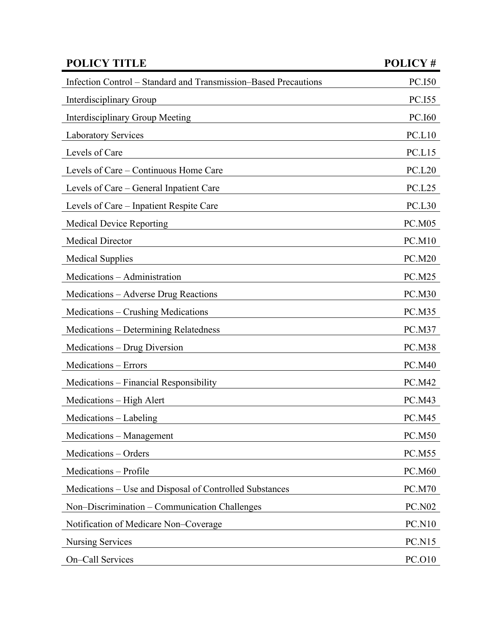| <b>POLICY TITLE</b>                                             | POLICY#       |
|-----------------------------------------------------------------|---------------|
| Infection Control – Standard and Transmission–Based Precautions | <b>PC.I50</b> |
| Interdisciplinary Group                                         | PC.I55        |
| <b>Interdisciplinary Group Meeting</b>                          | PC.160        |
| <b>Laboratory Services</b>                                      | PC.L10        |
| Levels of Care                                                  | PC.L15        |
| Levels of Care – Continuous Home Care                           | <b>PC.L20</b> |
| Levels of Care - General Inpatient Care                         | <b>PC.L25</b> |
| Levels of Care - Inpatient Respite Care                         | <b>PC.L30</b> |
| <b>Medical Device Reporting</b>                                 | <b>PC.M05</b> |
| <b>Medical Director</b>                                         | <b>PC.M10</b> |
| <b>Medical Supplies</b>                                         | <b>PC.M20</b> |
| Medications - Administration                                    | <b>PC.M25</b> |
| Medications - Adverse Drug Reactions                            | <b>PC.M30</b> |
| Medications – Crushing Medications                              | <b>PC.M35</b> |
| Medications – Determining Relatedness                           | <b>PC.M37</b> |
| Medications - Drug Diversion                                    | <b>PC.M38</b> |
| Medications - Errors                                            | <b>PC.M40</b> |
| Medications - Financial Responsibility                          | PC.M42        |
| Medications - High Alert                                        | <b>PC.M43</b> |
| Medications - Labeling                                          | <b>PC.M45</b> |
| Medications – Management                                        | <b>PC.M50</b> |
| Medications - Orders                                            | PC.M55        |
| Medications - Profile                                           | <b>PC.M60</b> |
| Medications – Use and Disposal of Controlled Substances         | <b>PC.M70</b> |
| Non-Discrimination – Communication Challenges                   | <b>PC.N02</b> |
| Notification of Medicare Non-Coverage                           | <b>PC.N10</b> |
| <b>Nursing Services</b>                                         | <b>PC.N15</b> |
| On-Call Services                                                | PC.O10        |